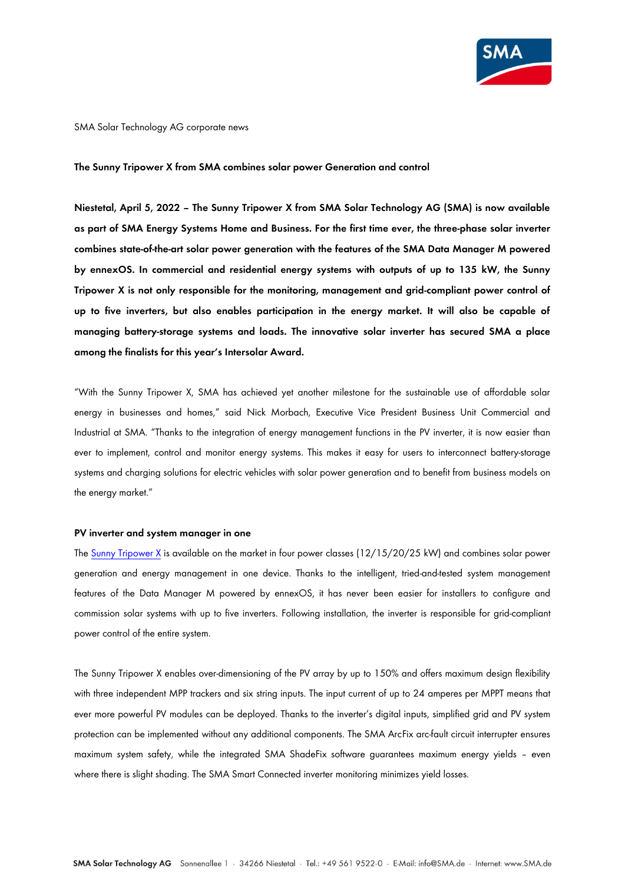

### SMA Solar Technology AG corporate news

#### **The Sunny Tripower X from SMA combines solar power Generation and control**

**Niestetal, April 5, 2022 – The Sunny Tripower X from SMA Solar Technology AG (SMA) is now available as part of SMA Energy Systems Home and Business. For the first time ever, the three-phase solar inverter combines state-of-the-art solar power generation with the features of the SMA Data Manager M powered by ennexOS. In commercial and residential energy systems with outputs of up to 135 kW, the Sunny Tripower X is not only responsible for the monitoring, management and grid-compliant power control of up to five inverters, but also enables participation in the energy market. It will also be capable of managing battery-storage systems and loads. The innovative solar inverter has secured SMA a place among the finalists for this year's Intersolar Award.**

"With the Sunny Tripower X, SMA has achieved yet another milestone for the sustainable use of affordable solar energy in businesses and homes," said Nick Morbach, Executive Vice President Business Unit Commercial and Industrial at SMA. "Thanks to the integration of energy management functions in the PV inverter, it is now easier than ever to implement, control and monitor energy systems. This makes it easy for users to interconnect battery-storage systems and charging solutions for electric vehicles with solar power generation and to benefit from business models on the energy market."

## **PV inverter and system manager in one**

The [Sunny Tripower X](https://www.sma.de/en/products/solarinverters/sunny-tripower-x.html) is available on the market in four power classes (12/15/20/25 kW) and combines solar power generation and energy management in one device. Thanks to the intelligent, tried-and-tested system management features of the Data Manager M powered by ennexOS, it has never been easier for installers to configure and commission solar systems with up to five inverters. Following installation, the inverter is responsible for grid-compliant power control of the entire system.

The Sunny Tripower X enables over-dimensioning of the PV array by up to 150% and offers maximum design flexibility with three independent MPP trackers and six string inputs. The input current of up to 24 amperes per MPPT means that ever more powerful PV modules can be deployed. Thanks to the inverter's digital inputs, simplified grid and PV system protection can be implemented without any additional components. The SMA ArcFix arc-fault circuit interrupter ensures maximum system safety, while the integrated SMA ShadeFix software guarantees maximum energy yields – even where there is slight shading. The SMA Smart Connected inverter monitoring minimizes yield losses.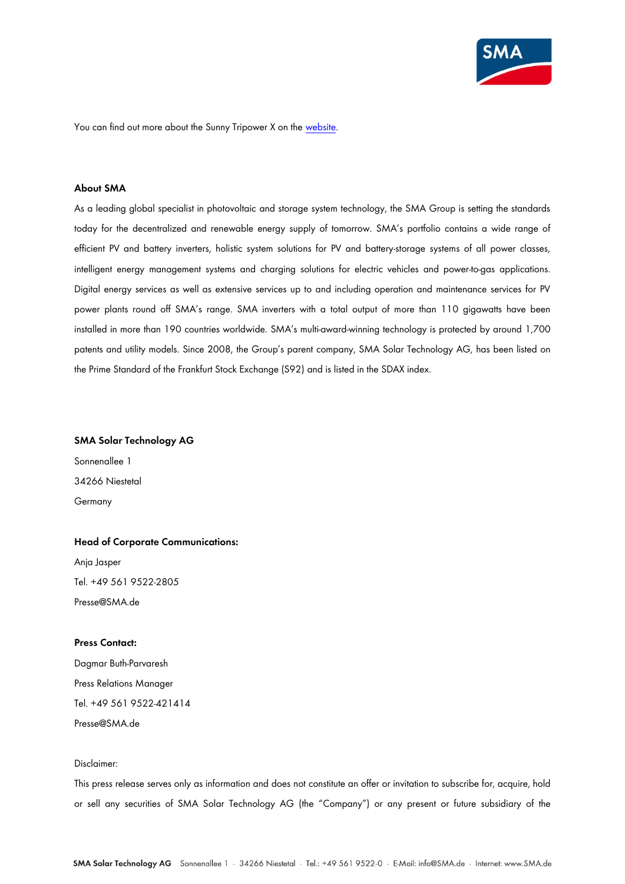

You can find out more about the Sunny Tripower X on the [website.](https://www.sma.de/en/products/solarinverters/sunny-tripower-x.html)

# **About SMA**

As a leading global specialist in photovoltaic and storage system technology, the SMA Group is setting the standards today for the decentralized and renewable energy supply of tomorrow. SMA's portfolio contains a wide range of efficient PV and battery inverters, holistic system solutions for PV and battery-storage systems of all power classes, intelligent energy management systems and charging solutions for electric vehicles and power-to-gas applications. Digital energy services as well as extensive services up to and including operation and maintenance services for PV power plants round off SMA's range. SMA inverters with a total output of more than 110 gigawatts have been installed in more than 190 countries worldwide. SMA's multi-award-winning technology is protected by around 1,700 patents and utility models. Since 2008, the Group's parent company, SMA Solar Technology AG, has been listed on the Prime Standard of the Frankfurt Stock Exchange (S92) and is listed in the SDAX index.

## **SMA Solar Technology AG**

Sonnenallee 1 34266 Niestetal Germany

# **Head of Corporate Communications:** Anja Jasper Tel. +49 561 9522-2805

Presse@SMA.de

## **Press Contact:**

Dagmar Buth-Parvaresh Press Relations Manager Tel. +49 561 9522-421414 Presse@SMA.de

# Disclaimer:

This press release serves only as information and does not constitute an offer or invitation to subscribe for, acquire, hold or sell any securities of SMA Solar Technology AG (the "Company") or any present or future subsidiary of the